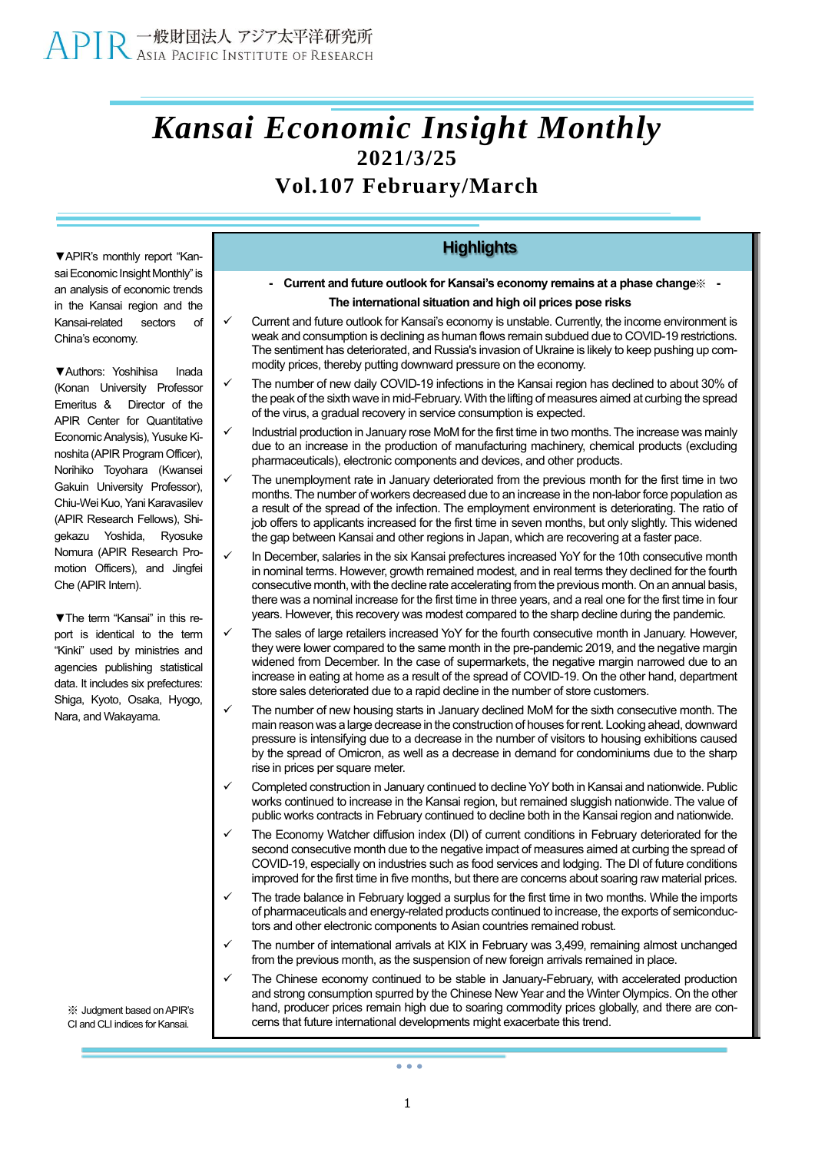## *Kansai Economic Insight Monthly* **2021/3/25**

### **Vol.107 February/March**

**▼**APIR's monthly report "Kansai Economic Insight Monthly" is an analysis of economic trends in the Kansai region and the Kansai-related sectors of China's economy.

**▼**Authors: Yoshihisa Inada (Konan University Professor Emeritus & Director of the APIR Center for Quantitative Economic Analysis), Yusuke Kinoshita (APIR Program Officer), Norihiko Toyohara (Kwansei Gakuin University Professor), Chiu-Wei Kuo, Yani Karavasilev (APIR Research Fellows), Shigekazu Yoshida, Ryosuke Nomura (APIR Research Promotion Officers), and Jingfei Che (APIR Intern).

**▼**The term "Kansai" in this report is identical to the term "Kinki" used by ministries and agencies publishing statistical data. It includes six prefectures: Shiga, Kyoto, Osaka, Hyogo, Nara, and Wakayama.

※ Judgment based onAPIR's CI and CLI indices for Kansai.

#### **Highlights**

- **- Current and future outlook for Kansai's economy remains at a phase change**※ **- The international situation and high oil prices pose risks**
- Current and future outlook for Kansai's economy is unstable. Currently, the income environment is weak and consumption is declining as human flows remain subdued due to COVID-19 restrictions. The sentiment has deteriorated, and Russia's invasion of Ukraine is likely to keep pushing up commodity prices, thereby putting downward pressure on the economy.
- The number of new daily COVID-19 infections in the Kansai region has declined to about 30% of the peak of the sixth wave in mid-February. With the lifting of measures aimed at curbing the spread of the virus, a gradual recovery in service consumption is expected.
- Industrial production in January rose MoM for the first time in two months. The increase was mainly due to an increase in the production of manufacturing machinery, chemical products (excluding pharmaceuticals), electronic components and devices, and other products.
- The unemployment rate in January deteriorated from the previous month for the first time in two months. The number of workers decreased due to an increase in the non-labor force population as a result of the spread of the infection. The employment environment is deteriorating. The ratio of job offers to applicants increased for the first time in seven months, but only slightly. This widened the gap between Kansai and other regions in Japan, which are recovering at a faster pace.
- In December, salaries in the six Kansai prefectures increased YoY for the 10th consecutive month in nominal terms. However, growth remained modest, and in real terms they declined for the fourth consecutive month, with the decline rate accelerating from the previous month. On an annual basis, there was a nominal increase for the first time in three years, and a real one for the first time in four years. However, this recovery was modest compared to the sharp decline during the pandemic.
- The sales of large retailers increased YoY for the fourth consecutive month in January. However, they were lower compared to the same month in the pre-pandemic 2019, and the negative margin widened from December. In the case of supermarkets, the negative margin narrowed due to an increase in eating at home as a result of the spread of COVID-19. On the other hand, department store sales deteriorated due to a rapid decline in the number of store customers.
- The number of new housing starts in January declined MoM for the sixth consecutive month. The main reason was a large decrease in the construction of houses for rent. Looking ahead, downward pressure is intensifying due to a decrease in the number of visitors to housing exhibitions caused by the spread of Omicron, as well as a decrease in demand for condominiums due to the sharp rise in prices per square meter.
- Completed construction in January continued to decline YoY both in Kansai and nationwide. Public works continued to increase in the Kansai region, but remained sluggish nationwide. The value of public works contracts in February continued to decline both in the Kansai region and nationwide.
- The Economy Watcher diffusion index (DI) of current conditions in February deteriorated for the second consecutive month due to the negative impact of measures aimed at curbing the spread of COVID-19, especially on industries such as food services and lodging. The DI of future conditions improved for the first time in five months, but there are concerns about soaring raw material prices.
- The trade balance in February logged a surplus for the first time in two months. While the imports of pharmaceuticals and energy-related products continued to increase, the exports of semiconductors and other electronic components to Asian countries remained robust.
- The number of international arrivals at KIX in February was 3,499, remaining almost unchanged from the previous month, as the suspension of new foreign arrivals remained in place.
- The Chinese economy continued to be stable in January-February, with accelerated production and strong consumption spurred by the Chinese New Year and the Winter Olympics. On the other hand, producer prices remain high due to soaring commodity prices globally, and there are concerns that future international developments might exacerbate this trend.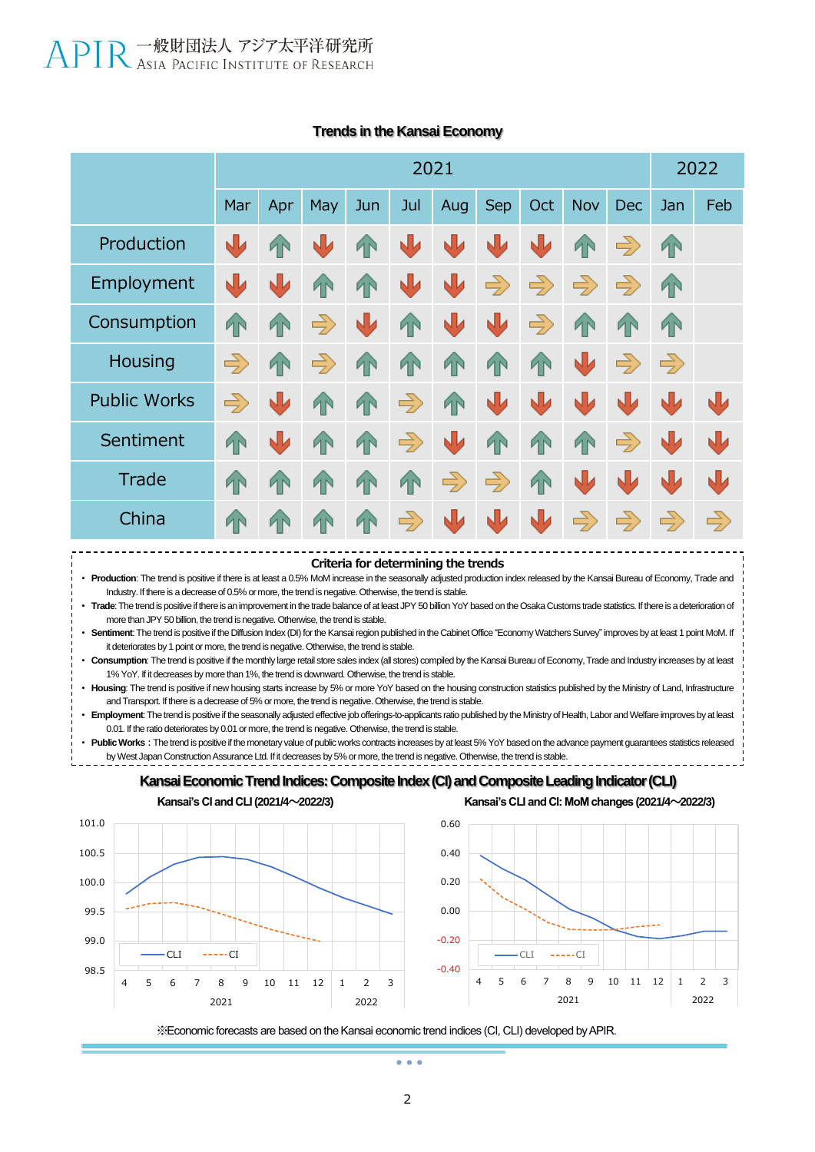|                     | 2021          |                |               |           |               |               |               |                |                        | 2022          |               |               |
|---------------------|---------------|----------------|---------------|-----------|---------------|---------------|---------------|----------------|------------------------|---------------|---------------|---------------|
|                     | Mar           | Apr            | <b>May</b>    | Jun       | Jul           | Aug           | <b>Sep</b>    | Oct            | Nov                    | <b>Dec</b>    | Jan           | Feb           |
| Production          | ₩             | ИN             | 业             | <b>AN</b> | 业             | N             | N             | り              | <b>TN</b>              | $\Rightarrow$ | 4             |               |
| Employment          | ⋓             | NL             | <b>TN</b>     | <b>AN</b> | 业             | N             | $\Rightarrow$ | $\Rightarrow$  | $\Rightarrow$          | $\Rightarrow$ | <b>TN</b>     |               |
| Consumption         | <b>AN</b>     | ИŃ             | $\Rightarrow$ | ↓         | 1             | N             | N             | $\Rightarrow$  | <b>AN</b>              | T             | $\sqrt{1}$    |               |
| Housing             | $\Rightarrow$ | <b>AN</b>      | $\Rightarrow$ | TN        | 4             | <b>TN</b>     | <b>TN</b>     | <b>TN</b>      | $\sqrt{\phantom{.}}\,$ | $\Rightarrow$ | $\Rightarrow$ |               |
| <b>Public Works</b> | $\Rightarrow$ | <b>NV</b>      | <b>TN</b>     | <b>AN</b> | $\Rightarrow$ | <b>TN</b>     | り             | N              | N                      | N             | NIJ           | す             |
| Sentiment           | <b>TN</b>     | N              | 1             | <b>AN</b> | $\Rightarrow$ | N             | 1             | 4 <sup>o</sup> | 4                      | $\Rightarrow$ | N             | W             |
| Trade               | <b>AN</b>     | 4 <sup>N</sup> | <b>1</b> N    | <b>TN</b> | <b>TN</b>     | $\Rightarrow$ | $\Rightarrow$ | <b>TN</b>      | W                      | ↓             | N             | $\mathbf{U}$  |
| China               | ИN            | ИŃ             | T             | <b>AN</b> | $\Rightarrow$ | N             | N             | N              | $\Rightarrow$          | $\Rightarrow$ | $\Rightarrow$ | $\Rightarrow$ |

#### **Trends in the Kansai Economy**

**Criteria for determining the trends**

• **Production**: The trend is positive if there is at least a 0.5% MoM increase in the seasonally adjusted production index released by the Kansai Bureau of Economy, Trade and Industry. If there is a decrease of 0.5% or more, the trend is negative. Otherwise, the trend is stable.

• **Trade**: The trend is positive if there is an improvement in the trade balance of at least JPY 50 billion YoY based on the Osaka Customs trade statistics. If there is a deterioration of more than JPY 50 billion, the trend is negative. Otherwise, the trend is stable.

• **Sentiment**: The trend is positive if the Diffusion Index (DI) for the Kansai region published in the Cabinet Office "Economy Watchers Survey" improves by at least 1 point MoM. If it deteriorates by 1 point or more, the trend is negative. Otherwise, the trend is stable.

• **Consumption**: The trend is positive if the monthly large retail store sales index (all stores) compiled by the Kansai Bureau of Economy, Trade and Industry increases by at least 1% YoY. If it decreases by more than 1%, the trend is downward. Otherwise, the trend is stable.

• **Housing**: The trend is positive if new housing starts increase by 5% or more YoY based on the housing construction statistics published by the Ministry of Land, Infrastructure and Transport. If there is a decrease of 5% or more, the trend is negative. Otherwise, the trend is stable.

• **Employment**: The trend is positive if the seasonally adjusted effective job offerings-to-applicants ratio published by the Ministry of Health, Labor and Welfare improves by at least 0.01. If the ratio deteriorates by 0.01 or more, the trend is negative. Otherwise, the trend is stable.

Public Works : The trend is positive if the monetary value of public works contracts increases by at least 5% YoY based on the advance payment guarantees statistics released by West Japan Construction Assurance Ltd. If it decreases by 5% or more, the trend is negative. Otherwise, the trend is stable.





**Kansai's CI and CLI(2021/4~2022/3) Kansai's CLI and CI: MoM changes (2021/4~2022/3)**



※Economic forecasts are based on the Kansai economic trend indices (CI, CLI) developed by APIR.

 $\sim$   $\sim$   $\sim$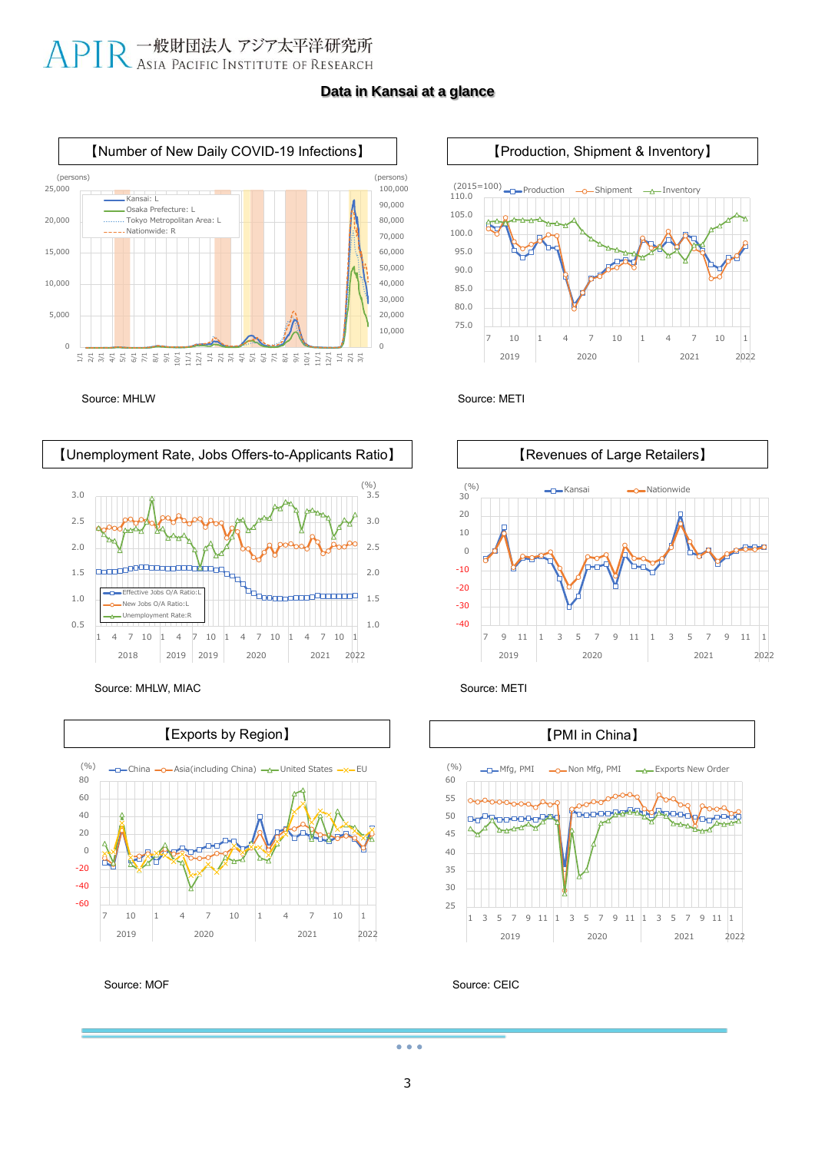#### **Data in Kansai at a glance**



Source: MHLW Source: METI



Source: MHLW, MIAC Source: METI



Source: MOF









Source: CEIC